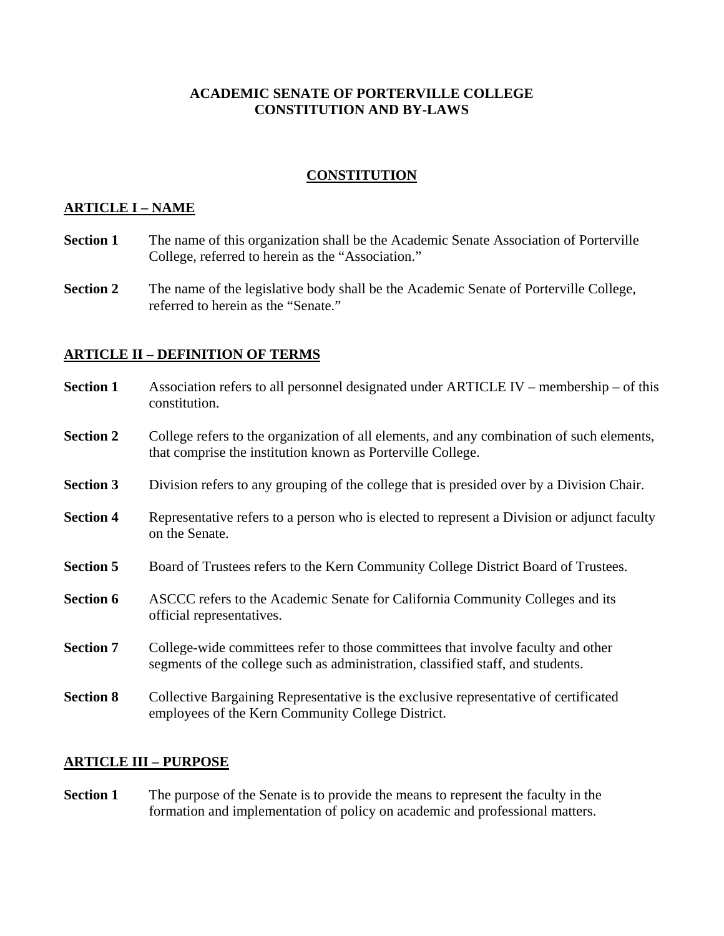# **ACADEMIC SENATE OF PORTERVILLE COLLEGE CONSTITUTION AND BY-LAWS**

# **CONSTITUTION**

# **ARTICLE I – NAME**

- **Section 1** The name of this organization shall be the Academic Senate Association of Porterville College, referred to herein as the "Association."
- **Section 2** The name of the legislative body shall be the Academic Senate of Porterville College, referred to herein as the "Senate."

# **ARTICLE II – DEFINITION OF TERMS**

| <b>Section 1</b> | Association refers to all personnel designated under ARTICLE IV – membership – of this<br>constitution.                                                             |
|------------------|---------------------------------------------------------------------------------------------------------------------------------------------------------------------|
| <b>Section 2</b> | College refers to the organization of all elements, and any combination of such elements,<br>that comprise the institution known as Porterville College.            |
| <b>Section 3</b> | Division refers to any grouping of the college that is presided over by a Division Chair.                                                                           |
| <b>Section 4</b> | Representative refers to a person who is elected to represent a Division or adjunct faculty<br>on the Senate.                                                       |
| <b>Section 5</b> | Board of Trustees refers to the Kern Community College District Board of Trustees.                                                                                  |
| <b>Section 6</b> | ASCCC refers to the Academic Senate for California Community Colleges and its<br>official representatives.                                                          |
| <b>Section 7</b> | College-wide committees refer to those committees that involve faculty and other<br>segments of the college such as administration, classified staff, and students. |
| <b>Section 8</b> | Collective Bargaining Representative is the exclusive representative of certificated<br>employees of the Kern Community College District.                           |
|                  |                                                                                                                                                                     |

### **ARTICLE III – PURPOSE**

**Section 1** The purpose of the Senate is to provide the means to represent the faculty in the formation and implementation of policy on academic and professional matters.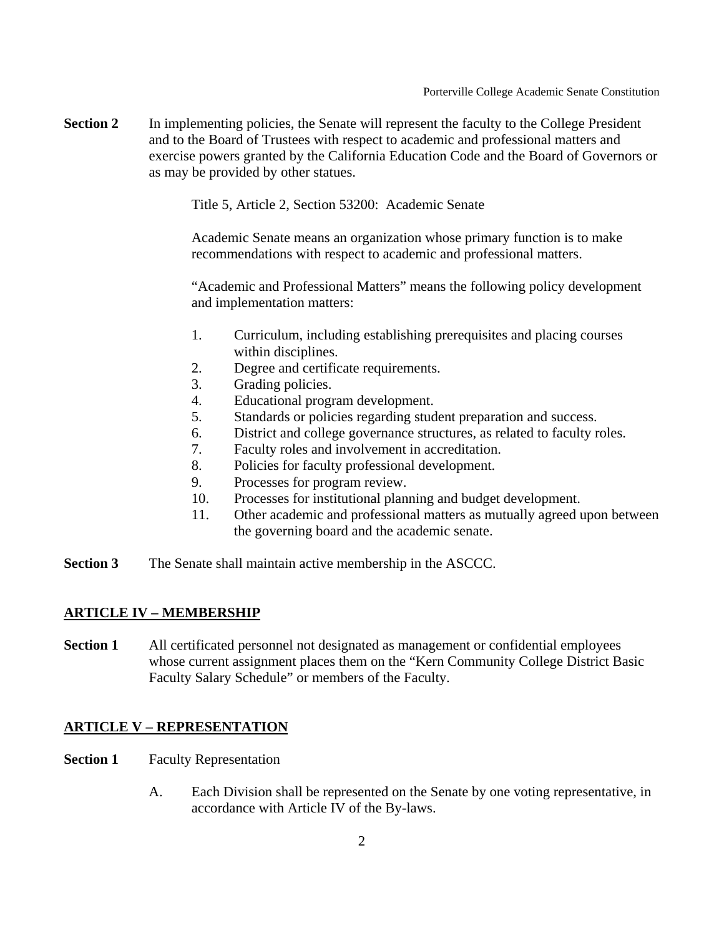**Section 2** In implementing policies, the Senate will represent the faculty to the College President and to the Board of Trustees with respect to academic and professional matters and exercise powers granted by the California Education Code and the Board of Governors or as may be provided by other statues.

Title 5, Article 2, Section 53200: Academic Senate

Academic Senate means an organization whose primary function is to make recommendations with respect to academic and professional matters.

"Academic and Professional Matters" means the following policy development and implementation matters:

- 1. Curriculum, including establishing prerequisites and placing courses within disciplines.
- 2. Degree and certificate requirements.
- 3. Grading policies.
- 4. Educational program development.
- 5. Standards or policies regarding student preparation and success.
- 6. District and college governance structures, as related to faculty roles.
- 7. Faculty roles and involvement in accreditation.
- 8. Policies for faculty professional development.
- 9. Processes for program review.
- 10. Processes for institutional planning and budget development.
- 11. Other academic and professional matters as mutually agreed upon between the governing board and the academic senate.
- **Section 3** The Senate shall maintain active membership in the ASCCC.

#### **ARTICLE IV – MEMBERSHIP**

**Section 1** All certificated personnel not designated as management or confidential employees whose current assignment places them on the "Kern Community College District Basic Faculty Salary Schedule" or members of the Faculty.

### **ARTICLE V – REPRESENTATION**

- **Section 1** Faculty Representation
	- A. Each Division shall be represented on the Senate by one voting representative, in accordance with Article IV of the By-laws.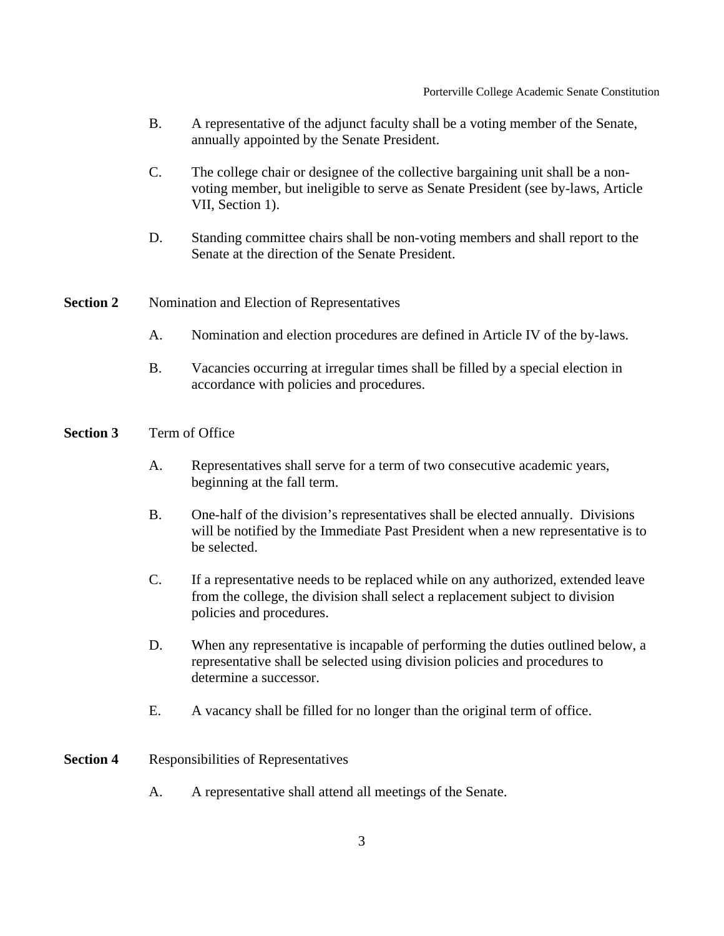- B. A representative of the adjunct faculty shall be a voting member of the Senate, annually appointed by the Senate President.
- C. The college chair or designee of the collective bargaining unit shall be a nonvoting member, but ineligible to serve as Senate President (see by-laws, Article VII, Section 1).
- D. Standing committee chairs shall be non-voting members and shall report to the Senate at the direction of the Senate President.

### **Section 2** Nomination and Election of Representatives

- A. Nomination and election procedures are defined in Article IV of the by-laws.
- B. Vacancies occurring at irregular times shall be filled by a special election in accordance with policies and procedures.

#### **Section 3** Term of Office

- A. Representatives shall serve for a term of two consecutive academic years, beginning at the fall term.
- B. One-half of the division's representatives shall be elected annually. Divisions will be notified by the Immediate Past President when a new representative is to be selected.
- C. If a representative needs to be replaced while on any authorized, extended leave from the college, the division shall select a replacement subject to division policies and procedures.
- D. When any representative is incapable of performing the duties outlined below, a representative shall be selected using division policies and procedures to determine a successor.
- E. A vacancy shall be filled for no longer than the original term of office.

#### **Section 4** Responsibilities of Representatives

A. A representative shall attend all meetings of the Senate.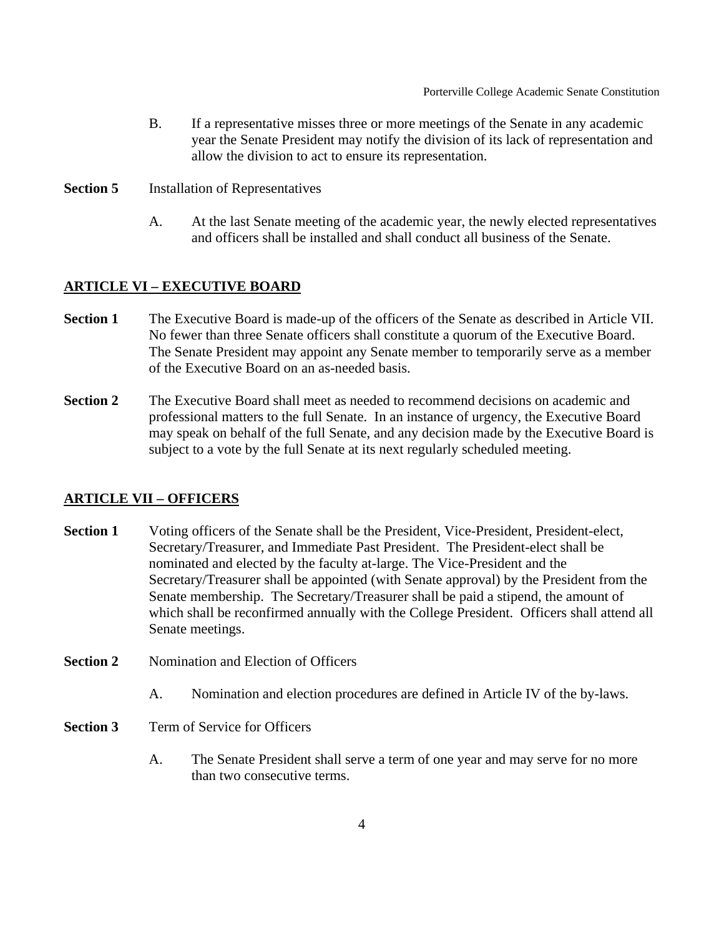- B. If a representative misses three or more meetings of the Senate in any academic year the Senate President may notify the division of its lack of representation and allow the division to act to ensure its representation.
- **Section 5** Installation of Representatives
	- A. At the last Senate meeting of the academic year, the newly elected representatives and officers shall be installed and shall conduct all business of the Senate.

### **ARTICLE VI – EXECUTIVE BOARD**

- **Section 1** The Executive Board is made-up of the officers of the Senate as described in Article VII. No fewer than three Senate officers shall constitute a quorum of the Executive Board. The Senate President may appoint any Senate member to temporarily serve as a member of the Executive Board on an as-needed basis.
- **Section 2** The Executive Board shall meet as needed to recommend decisions on academic and professional matters to the full Senate. In an instance of urgency, the Executive Board may speak on behalf of the full Senate, and any decision made by the Executive Board is subject to a vote by the full Senate at its next regularly scheduled meeting.

#### **ARTICLE VII – OFFICERS**

- **Section 1** Voting officers of the Senate shall be the President, Vice-President, President-elect, Secretary/Treasurer, and Immediate Past President. The President-elect shall be nominated and elected by the faculty at-large. The Vice-President and the Secretary/Treasurer shall be appointed (with Senate approval) by the President from the Senate membership. The Secretary/Treasurer shall be paid a stipend, the amount of which shall be reconfirmed annually with the College President. Officers shall attend all Senate meetings.
- **Section 2** Nomination and Election of Officers
	- A. Nomination and election procedures are defined in Article IV of the by-laws.
- **Section 3** Term of Service for Officers
	- A. The Senate President shall serve a term of one year and may serve for no more than two consecutive terms.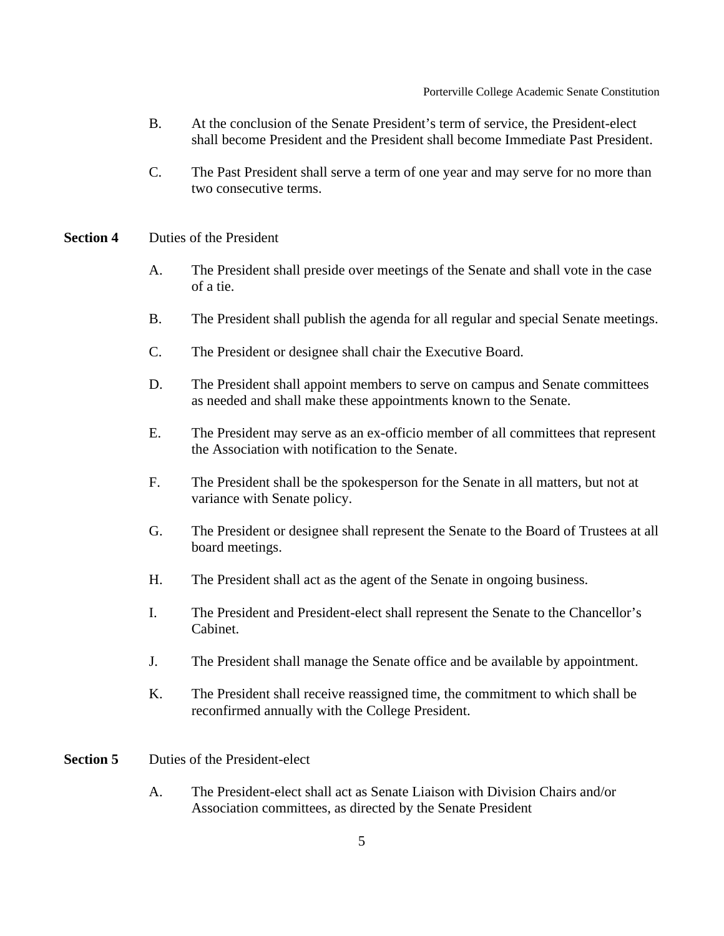- B. At the conclusion of the Senate President's term of service, the President-elect shall become President and the President shall become Immediate Past President.
- C. The Past President shall serve a term of one year and may serve for no more than two consecutive terms.
- **Section 4** Duties of the President
	- A. The President shall preside over meetings of the Senate and shall vote in the case of a tie.
	- B. The President shall publish the agenda for all regular and special Senate meetings.
	- C. The President or designee shall chair the Executive Board.
	- D. The President shall appoint members to serve on campus and Senate committees as needed and shall make these appointments known to the Senate.
	- E. The President may serve as an ex-officio member of all committees that represent the Association with notification to the Senate.
	- F. The President shall be the spokesperson for the Senate in all matters, but not at variance with Senate policy.
	- G. The President or designee shall represent the Senate to the Board of Trustees at all board meetings.
	- H. The President shall act as the agent of the Senate in ongoing business.
	- I. The President and President-elect shall represent the Senate to the Chancellor's Cabinet.
	- J. The President shall manage the Senate office and be available by appointment.
	- K. The President shall receive reassigned time, the commitment to which shall be reconfirmed annually with the College President.
- **Section 5** Duties of the President-elect
	- A. The President-elect shall act as Senate Liaison with Division Chairs and/or Association committees, as directed by the Senate President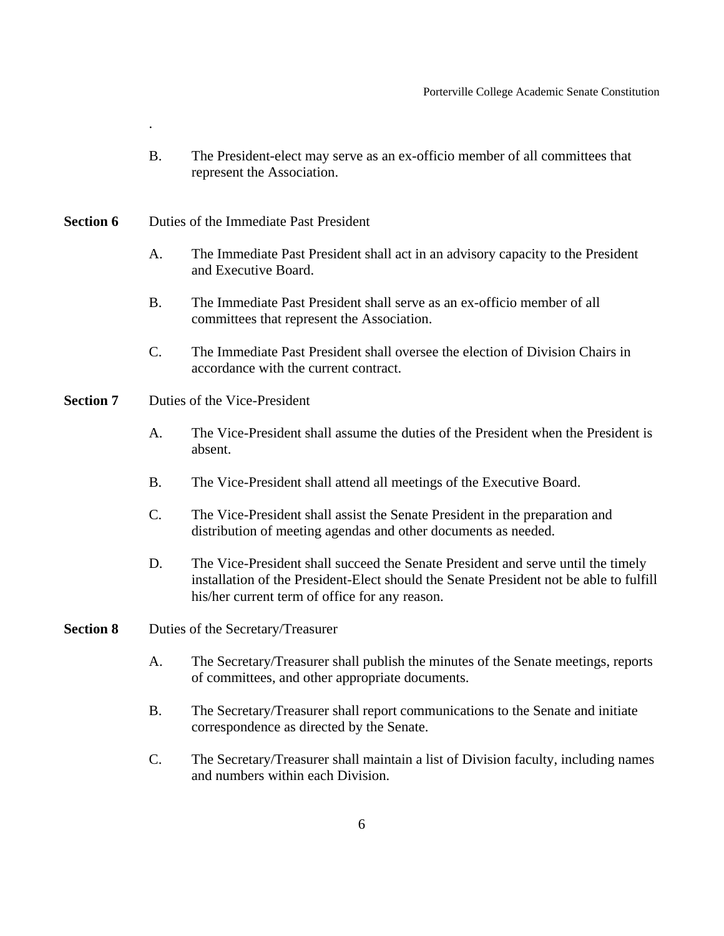- B. The President-elect may serve as an ex-officio member of all committees that represent the Association.
- **Section 6** Duties of the Immediate Past President

.

- A. The Immediate Past President shall act in an advisory capacity to the President and Executive Board.
- B. The Immediate Past President shall serve as an ex-officio member of all committees that represent the Association.
- C. The Immediate Past President shall oversee the election of Division Chairs in accordance with the current contract.
- **Section 7** Duties of the Vice-President
	- A. The Vice-President shall assume the duties of the President when the President is absent.
	- B. The Vice-President shall attend all meetings of the Executive Board.
	- C. The Vice-President shall assist the Senate President in the preparation and distribution of meeting agendas and other documents as needed.
	- D. The Vice-President shall succeed the Senate President and serve until the timely installation of the President-Elect should the Senate President not be able to fulfill his/her current term of office for any reason.
- **Section 8** Duties of the Secretary/Treasurer
	- A. The Secretary/Treasurer shall publish the minutes of the Senate meetings, reports of committees, and other appropriate documents.
	- B. The Secretary/Treasurer shall report communications to the Senate and initiate correspondence as directed by the Senate.
	- C. The Secretary/Treasurer shall maintain a list of Division faculty, including names and numbers within each Division.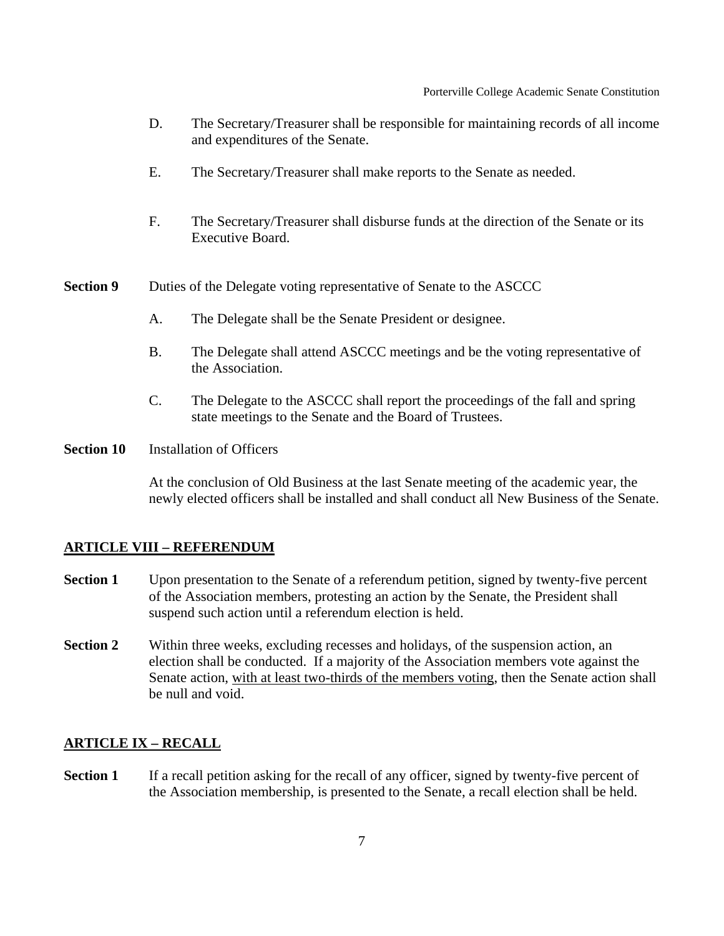- D. The Secretary/Treasurer shall be responsible for maintaining records of all income and expenditures of the Senate.
- E. The Secretary/Treasurer shall make reports to the Senate as needed.
- F. The Secretary/Treasurer shall disburse funds at the direction of the Senate or its Executive Board.
- **Section 9** Duties of the Delegate voting representative of Senate to the ASCCC
	- A. The Delegate shall be the Senate President or designee.
	- B. The Delegate shall attend ASCCC meetings and be the voting representative of the Association.
	- C. The Delegate to the ASCCC shall report the proceedings of the fall and spring state meetings to the Senate and the Board of Trustees.
- **Section 10** Installation of Officers

At the conclusion of Old Business at the last Senate meeting of the academic year, the newly elected officers shall be installed and shall conduct all New Business of the Senate.

#### **ARTICLE VIII – REFERENDUM**

- **Section 1** Upon presentation to the Senate of a referendum petition, signed by twenty-five percent of the Association members, protesting an action by the Senate, the President shall suspend such action until a referendum election is held.
- **Section 2** Within three weeks, excluding recesses and holidays, of the suspension action, an election shall be conducted. If a majority of the Association members vote against the Senate action, with at least two-thirds of the members voting, then the Senate action shall be null and void.

#### **ARTICLE IX – RECALL**

**Section 1** If a recall petition asking for the recall of any officer, signed by twenty-five percent of the Association membership, is presented to the Senate, a recall election shall be held.